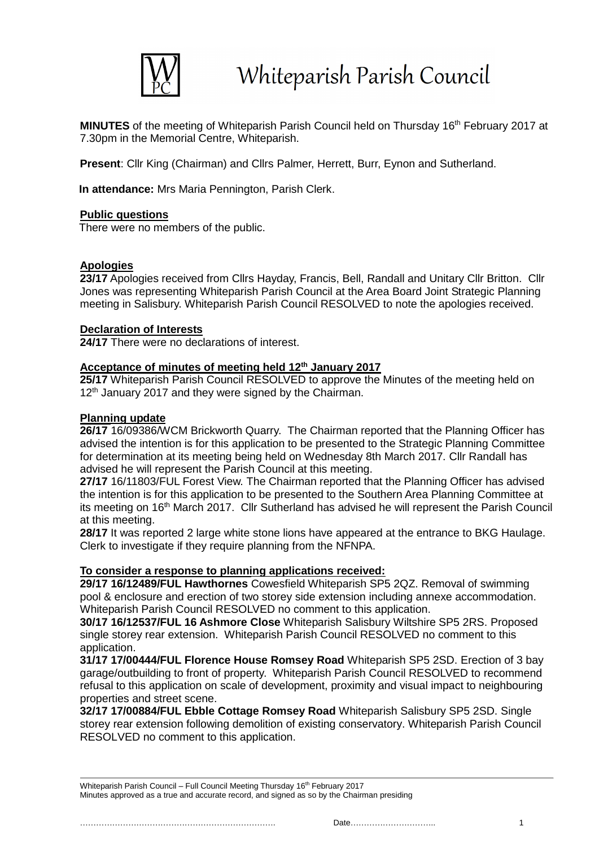

MINUTES of the meeting of Whiteparish Parish Council held on Thursday 16<sup>th</sup> February 2017 at 7.30pm in the Memorial Centre, Whiteparish.

**Present**: Cllr King (Chairman) and Cllrs Palmer, Herrett, Burr, Eynon and Sutherland.

**In attendance:** Mrs Maria Pennington, Parish Clerk.

#### **Public questions**

There were no members of the public.

# **Apologies**

23/17 Apologies received from Cllrs Hayday, Francis, Bell, Randall and Unitary Cllr Britton. Cllr Jones was representing Whiteparish Parish Council at the Area Board Joint Strategic Planning meeting in Salisbury. Whiteparish Parish Council RESOLVED to note the apologies received.

#### **Declaration of Interests**

**24/17** There were no declarations of interest.

# **Acceptance of minutes of meeting held 12th January 2017**

25/17 Whiteparish Parish Council RESOLVED to approve the Minutes of the meeting held on 12<sup>th</sup> January 2017 and they were signed by the Chairman.

#### **Planning update**

**26/17** 16/09386/WCM Brickworth Quarry. The Chairman reported that the Planning Officer has advised the intention is for this application to be presented to the Strategic Planning Committee for determination at its meeting being held on Wednesday 8th March 2017. Cllr Randall has advised he will represent the Parish Council at this meeting.

**27/17** 16/11803/FUL Forest View. The Chairman reported that the Planning Officer has advised the intention is for this application to be presented to the Southern Area Planning Committee at its meeting on 16<sup>th</sup> March 2017. Cllr Sutherland has advised he will represent the Parish Council at this meeting.

**28/17** It was reported 2 large white stone lions have appeared at the entrance to BKG Haulage. Clerk to investigate if they require planning from the NFNPA.

# **To consider a response to planning applications received:**

**29/17 16/12489/FUL Hawthornes** Cowesfield Whiteparish SP5 2QZ. Removal of swimming pool & enclosure and erection of two storey side extension including annexe accommodation. Whiteparish Parish Council RESOLVED no comment to this application.

**30/17 16/12537/FUL 16 Ashmore Close** Whiteparish Salisbury Wiltshire SP5 2RS. Proposed single storey rear extension. Whiteparish Parish Council RESOLVED no comment to this application.

**31/17 17/00444/FUL Florence House Romsey Road** Whiteparish SP5 2SD. Erection of 3 bay garage/outbuilding to front of property. Whiteparish Parish Council RESOLVED to recommend refusal to this application on scale of development, proximity and visual impact to neighbouring properties and street scene.

**32/17 17/00884/FUL Ebble Cottage Romsey Road** Whiteparish Salisbury SP5 2SD. Single storey rear extension following demolition of existing conservatory. Whiteparish Parish Council RESOLVED no comment to this application.

Whiteparish Parish Council - Full Council Meeting Thursday 16<sup>th</sup> February 2017 Minutes approved as a true and accurate record, and signed as so by the Chairman presiding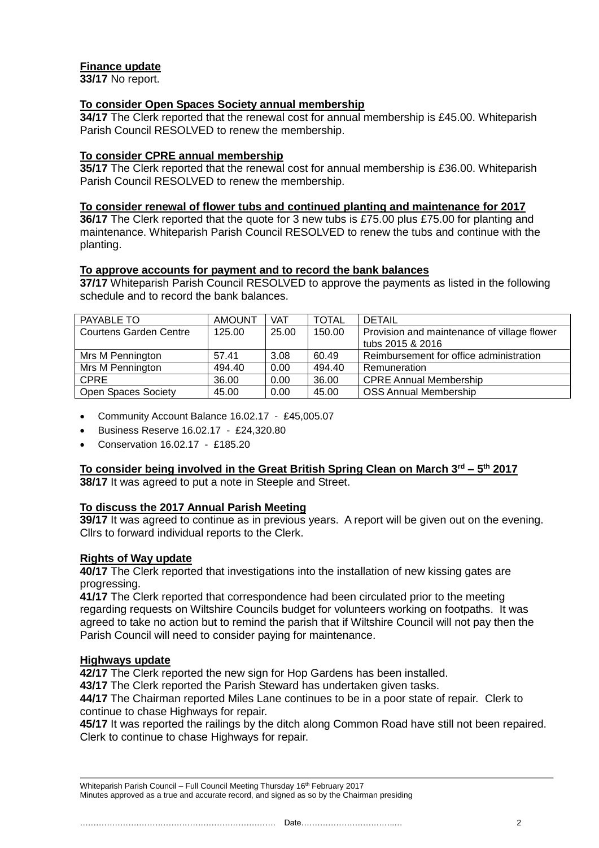# **Finance update**

**33/17** No report.

# **To consider Open Spaces Society annual membership**

**34/17** The Clerk reported that the renewal cost for annual membership is £45.00. Whiteparish Parish Council RESOLVED to renew the membership.

# **To consider CPRE annual membership**

**35/17** The Clerk reported that the renewal cost for annual membership is £36.00. Whiteparish Parish Council RESOLVED to renew the membership.

## **To consider renewal of flower tubs and continued planting and maintenance for 2017**

**36/17** The Clerk reported that the quote for 3 new tubs is £75.00 plus £75.00 for planting and maintenance. Whiteparish Parish Council RESOLVED to renew the tubs and continue with the planting.

#### **To approve accounts for payment and to record the bank balances**

**37/17** Whiteparish Parish Council RESOLVED to approve the payments as listed in the following schedule and to record the bank balances.

| PAYABLE TO                    | <b>AMOUNT</b> | <b>VAT</b> | <b>TOTAL</b> | <b>DETAIL</b>                               |
|-------------------------------|---------------|------------|--------------|---------------------------------------------|
| <b>Courtens Garden Centre</b> | 125.00        | 25.00      | 150.00       | Provision and maintenance of village flower |
|                               |               |            |              | tubs 2015 & 2016                            |
| Mrs M Pennington              | 57.41         | 3.08       | 60.49        | Reimbursement for office administration     |
| Mrs M Pennington              | 494.40        | 0.00       | 494.40       | Remuneration                                |
| <b>CPRE</b>                   | 36.00         | 0.00       | 36.00        | <b>CPRE Annual Membership</b>               |
| <b>Open Spaces Society</b>    | 45.00         | 0.00       | 45.00        | <b>OSS Annual Membership</b>                |

- Community Account Balance 16.02.17 £45,005.07
- Business Reserve 16.02.17 £24,320.80
- Conservation 16.02.17 £185.20

#### **To consider being involved in the Great British Spring Clean on March 3rd – 5 th 2017 38/17** It was agreed to put a note in Steeple and Street.

# **To discuss the 2017 Annual Parish Meeting**

**39/17** It was agreed to continue as in previous years. A report will be given out on the evening. Cllrs to forward individual reports to the Clerk.

# **Rights of Way update**

**40/17** The Clerk reported that investigations into the installation of new kissing gates are progressing.

**41/17** The Clerk reported that correspondence had been circulated prior to the meeting regarding requests on Wiltshire Councils budget for volunteers working on footpaths. It was agreed to take no action but to remind the parish that if Wiltshire Council will not pay then the Parish Council will need to consider paying for maintenance.

# **Highways update**

**42/17** The Clerk reported the new sign for Hop Gardens has been installed.

**43/17** The Clerk reported the Parish Steward has undertaken given tasks.

**44/17** The Chairman reported Miles Lane continues to be in a poor state of repair. Clerk to continue to chase Highways for repair.

**45/17** It was reported the railings by the ditch along Common Road have still not been repaired. Clerk to continue to chase Highways for repair.